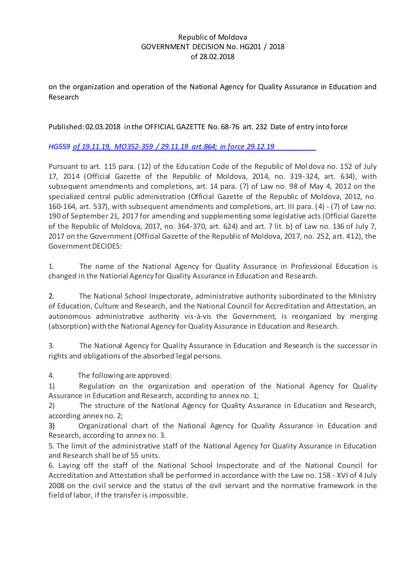## Republic of Moldova GOVERNMENT DECISION No. HG201 / 2018 of 28.02.2018

on the organization and operation of the National Agency for Quality Assurance in Education and Research

# Published: 02.03.2018 in the OFFICIAL GAZETTE No. 68-76 art. 232 Date of entry into force

*[HG559 of 19.11.19, MO352-359 / 29.11.19 art.864; in force 29.12.19](http://www.legis.md/cautare/getResults?doc_id=119036&lang=ro)*

Pursuant to art. 115 para. (12) of the Education Code of the Republic of Moldova no. 152 of July 17, 2014 (Official Gazette of the Republic of Moldova, 2014, no. 319-324, art. 634), with subsequent amendments and completions, art. 14 para. (7) of Law no. 98 of May 4, 2012 on the specialized central public administration (Official Gazette of the Republic of Moldova, 2012, no. 160-164, art. 537), with subsequent amendments and completions, art. III para. (4) - (7) of Law no. 190 of September 21, 2017 for amending and supplementing some legislative acts (Official Gazette of the Republic of Moldova, 2017, no. 364-370, art. 624) and art. 7 lit. b) of Law no. 136 of July 7, 2017 on the Government (Official Gazette of the Republic of Moldova, 2017, no. 252, art. 412), the Government DECIDES:

1. The name of the National Agency for Quality Assurance in Professional Education is changed in the National Agency for Quality Assurance in Education and Research.

2. The National School Inspectorate, administrative authority subordinated to the Ministry of Education, Culture and Research, and the National Council for Accreditation and Attestation, an autonomous administrative authority vis-à-vis the Government, is reorganized by merging (absorption) with the National Agency for Quality Assurance in Education and Research.

3. The National Agency for Quality Assurance in Education and Research is the successor in rights and obligations of the absorbed legal persons.

4. The following are approved:

1) Regulation on the organization and operation of the National Agency for Quality Assurance in Education and Research, according to annex no. 1;

2) The structure of the National Agency for Quality Assurance in Education and Research, according annex no. 2;

3) Organizational chart of the National Agency for Quality Assurance in Education and Research, according to annex no. 3.

5. The limit of the administrative staff of the National Agency for Quality Assurance in Education and Research shall be of 55 units.

6. Laying off the staff of the National School Inspectorate and of the National Council for Accreditation and Attestation shall be performed in accordance with the Law no. 158 - XVI of 4 July 2008 on the civil service and the status of the civil servant and the normative framework in the field of labor, if the transfer is impossible.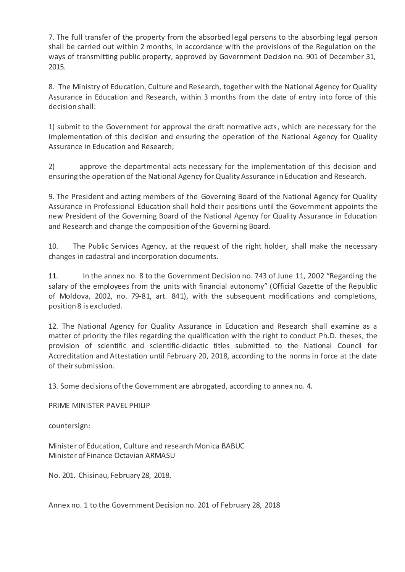7. The full transfer of the property from the absorbed legal persons to the absorbing legal person shall be carried out within 2 months, in accordance with the provisions of the Regulation on the ways of transmitting public property, approved by Government Decision no. 901 of December 31, 2015.

8. The Ministry of Education, Culture and Research, together with the National Agency for Quality Assurance in Education and Research, within 3 months from the date of entry into force of this decision shall:

1) submit to the Government for approval the draft normative acts, which are necessary for the implementation of this decision and ensuring the operation of the National Agency for Quality Assurance in Education and Research;

2) approve the departmental acts necessary for the implementation of this decision and ensuring the operation of the National Agency for Quality Assurance in Education and Research.

9. The President and acting members of the Governing Board of the National Agency for Quality Assurance in Professional Education shall hold their positions until the Government appoints the new President of the Governing Board of the National Agency for Quality Assurance in Education and Research and change the composition of the Governing Board.

10. The Public Services Agency, at the request of the right holder, shall make the necessary changes in cadastral and incorporation documents.

11. In the annex no. 8 to the Government Decision no. 743 of June 11, 2002 "Regarding the salary of the employees from the units with financial autonomy" (Official Gazette of the Republic of Moldova, 2002, no. 79-81, art. 841), with the subsequent modifications and completions, position 8 is excluded.

12. The National Agency for Quality Assurance in Education and Research shall examine as a matter of priority the files regarding the qualification with the right to conduct Ph.D. theses, the provision of scientific and scientific-didactic titles submitted to the National Council for Accreditation and Attestation until February 20, 2018, according to the norms in force at the date of their submission.

13. Some decisions of the Government are abrogated, according to annex no. 4.

PRIME MINISTER PAVEL PHILIP

countersign:

Minister of Education, Culture and research Monica BABUC Minister of Finance Octavian ARMASU

No. 201. Chisinau, February 28, 2018.

Annex no. 1 to the Government Decision no. 201 of February 28, 2018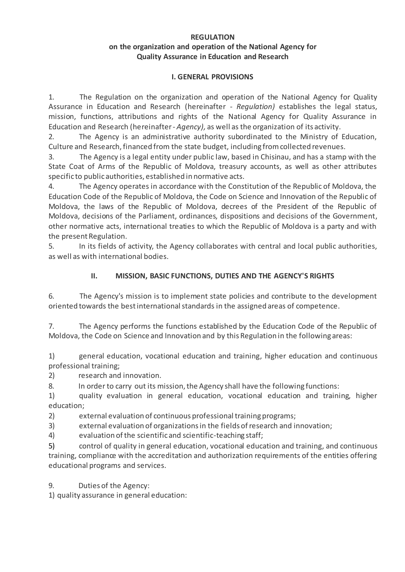#### **REGULATION on the organization and operation of the National Agency for Quality Assurance in Education and Research**

### **I. GENERAL PROVISIONS**

1. The Regulation on the organization and operation of the National Agency for Quality Assurance in Education and Research (hereinafter - *Regulation)* establishes the legal status, mission, functions, attributions and rights of the National Agency for Quality Assurance in Education and Research (hereinafter - *Agency),* as well as the organization of its activity.

2. The Agency is an administrative authority subordinated to the Ministry of Education, Culture and Research, financed from the state budget, including from collected revenues.

3. The Agency is a legal entity under public law, based in Chisinau, and has a stamp with the State Coat of Arms of the Republic of Moldova, treasury accounts, as well as other attributes specific to public authorities, established in normative acts.

4. The Agency operates in accordance with the Constitution of the Republic of Moldova, the Education Code of the Republic of Moldova, the Code on Science and Innovation of the Republic of Moldova, the laws of the Republic of Moldova, decrees of the President of the Republic of Moldova, decisions of the Parliament, ordinances, dispositions and decisions of the Government, other normative acts, international treaties to which the Republic of Moldova is a party and with the present Regulation.

5. In its fields of activity, the Agency collaborates with central and local public authorities, as well as with international bodies.

# **II. MISSION, BASIC FUNCTIONS, DUTIES AND THE AGENCY'S RIGHTS**

6. The Agency's mission is to implement state policies and contribute to the development oriented towards the best international standards in the assigned areas of competence.

7. The Agency performs the functions established by the Education Code of the Republic of Moldova, the Code on Science and Innovation and by this Regulation in the following areas:

1) general education, vocational education and training, higher education and continuous professional training;

2) research and innovation.

8. In order to carry out its mission, the Agency shall have the following functions:

1) quality evaluation in general education, vocational education and training, higher education;

2) external evaluation of continuous professional training programs;

3) external evaluation of organizations in the fields of research and innovation;

4) evaluation of the scientific and scientific-teaching staff;

5) control of quality in general education, vocational education and training, and continuous training, compliance with the accreditation and authorization requirements of the entities offering educational programs and services.

9. Duties of the Agency:

1) quality assurance in general education: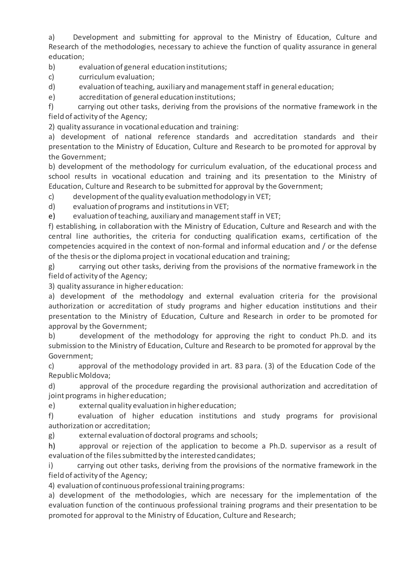a) Development and submitting for approval to the Ministry of Education, Culture and Research of the methodologies, necessary to achieve the function of quality assurance in general education;

b) evaluation of general education institutions;

- c) curriculum evaluation;
- d) evaluation of teaching, auxiliary and management staff in general education;
- e) accreditation of general education institutions;

f) carrying out other tasks, deriving from the provisions of the normative framework in the field of activity of the Agency;

2) quality assurance in vocational education and training:

a) development of national reference standards and accreditation standards and their presentation to the Ministry of Education, Culture and Research to be promoted for approval by the Government;

b) development of the methodology for curriculum evaluation, of the educational process and school results in vocational education and training and its presentation to the Ministry of Education, Culture and Research to be submitted for approval by the Government;

c) development of the quality evaluation methodology in VET;

d) evaluation of programs and institutions in VET;

e) evaluation of teaching, auxiliary and management staff in VET;

f) establishing, in collaboration with the Ministry of Education, Culture and Research and with the central line authorities, the criteria for conducting qualification exams, certification of the competencies acquired in the context of non-formal and informal education and / or the defense of the thesis or the diploma project in vocational education and training;

g) carrying out other tasks, deriving from the provisions of the normative framework in the field of activity of the Agency;

3) quality assurance in higher education:

a) development of the methodology and external evaluation criteria for the provisional authorization or accreditation of study programs and higher education institutions and their presentation to the Ministry of Education, Culture and Research in order to be promoted for approval by the Government;

b) development of the methodology for approving the right to conduct Ph.D. and its submission to the Ministry of Education, Culture and Research to be promoted for approval by the Government;

c) approval of the methodology provided in art. 83 para. (3) of the Education Code of the RepublicMoldova;

d) approval of the procedure regarding the provisional authorization and accreditation of joint programs in higher education;

e) external quality evaluation in higher education;

f) evaluation of higher education institutions and study programs for provisional authorization or accreditation;

g) external evaluation of doctoral programs and schools;

h) approval or rejection of the application to become a Ph.D. supervisor as a result of evaluation of the files submitted by the interested candidates;

i) carrying out other tasks, deriving from the provisions of the normative framework in the field of activity of the Agency;

4) evaluation of continuous professional training programs:

a) development of the methodologies, which are necessary for the implementation of the evaluation function of the continuous professional training programs and their presentation to be promoted for approval to the Ministry of Education, Culture and Research;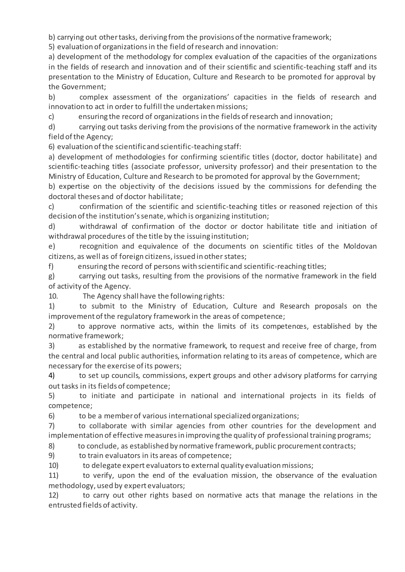b) carrying out other tasks, deriving from the provisions of the normative framework;

5) evaluation of organizations in the field of research and innovation:

a) development of the methodology for complex evaluation of the capacities of the organizations in the fields of research and innovation and of their scientific and scientific-teaching staff and its presentation to the Ministry of Education, Culture and Research to be promoted for approval by the Government;

b) complex assessment of the organizations' capacities in the fields of research and innovation to act in order to fulfill the undertaken missions;

c) ensuring the record of organizations in the fields of research and innovation;

d) carrying out tasks deriving from the provisions of the normative framework in the activity field of the Agency;

6) evaluation of the scientific and scientific-teaching staff:

a) development of methodologies for confirming scientific titles (doctor, doctor habilitate) and scientific-teaching titles (associate professor, university professor) and their presentation to the Ministry of Education, Culture and Research to be promoted for approval by the Government;

b) expertise on the objectivity of the decisions issued by the commissions for defending the doctoral theses and of doctor habilitate;

c) confirmation of the scientific and scientific-teaching titles or reasoned rejection of this decision of the institution's senate, which is organizing institution;

d) withdrawal of confirmation of the doctor or doctor habilitate title and initiation of withdrawal procedures of the title by the issuing institution;

e) recognition and equivalence of the documents on scientific titles of the Moldovan citizens, as well as of foreign citizens, issued in other states;

f) ensuring the record of persons with scientific and scientific-reaching titles;

g) carrying out tasks, resulting from the provisions of the normative framework in the field of activity of the Agency.

10. The Agency shall have the following rights:

1) to submit to the Ministry of Education, Culture and Research proposals on the improvement of the regulatory framework in the areas of competence;

2) to approve normative acts, within the limits of its competences, established by the normative framework;

3) as established by the normative framework, to request and receive free of charge, from the central and local public authorities, information relating to its areas of competence, which are necessary for the exercise of its powers;

4) to set up councils, commissions, expert groups and other advisory platforms for carrying out tasks in its fields of competence;

5) to initiate and participate in national and international projects in its fields of competence;

6) to be a member of various international specialized organizations;

7) to collaborate with similar agencies from other countries for the development and implementation of effective measures in improving the quality of professional training programs;

8) to conclude, as established by normative framework, public procurement contracts;

9) to train evaluators in its areas of competence;

10) to delegate expert evaluators to external quality evaluation missions;

11) to verify, upon the end of the evaluation mission, the observance of the evaluation methodology, used by expert evaluators;

12) to carry out other rights based on normative acts that manage the relations in the entrusted fields of activity.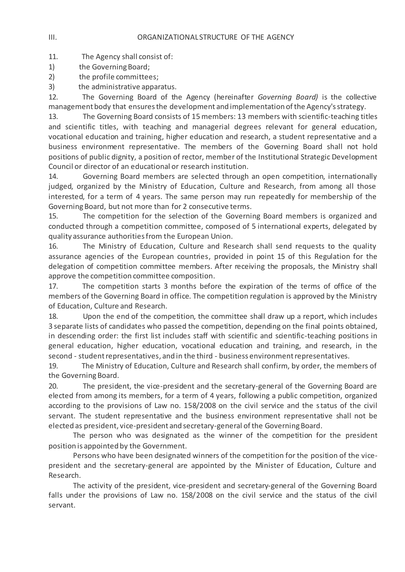11. The Agency shall consist of:

- 1) the Governing Board;
- 2) the profile committees;
- 3) the administrative apparatus.

12. The Governing Board of the Agency (hereinafter *Governing Board)* is the collective management body that ensures the development and implementation of the Agency's strategy.

13. The Governing Board consists of 15 members: 13 members with scientific-teaching titles and scientific titles, with teaching and managerial degrees relevant for general education, vocational education and training, higher education and research, a student representative and a business environment representative. The members of the Governing Board shall not hold positions of public dignity, a position of rector, member of the Institutional Strategic Development Council or director of an educational or research institution.

14. Governing Board members are selected through an open competition, internationally judged, organized by the Ministry of Education, Culture and Research, from among all those interested, for a term of 4 years. The same person may run repeatedly for membership of the Governing Board, but not more than for 2 consecutive terms.

15. The competition for the selection of the Governing Board members is organized and conducted through a competition committee, composed of 5 international experts, delegated by quality assurance authorities from the European Union.

16. The Ministry of Education, Culture and Research shall send requests to the quality assurance agencies of the European countries, provided in point 15 of this Regulation for the delegation of competition committee members. After receiving the proposals, the Ministry shall approve the competition committee composition.

17. The competition starts 3 months before the expiration of the terms of office of the members of the Governing Board in office. The competition regulation is approved by the Ministry of Education, Culture and Research.

18. Upon the end of the competition, the committee shall draw up a report, which includes 3 separate lists of candidates who passed the competition, depending on the final points obtained, in descending order: the first list includes staff with scientific and scientific-teaching positions in general education, higher education, vocational education and training, and research, in the second - student representatives, and in the third - business environment representatives.

19. The Ministry of Education, Culture and Research shall confirm, by order, the members of the Governing Board.

20. The president, the vice-president and the secretary-general of the Governing Board are elected from among its members, for a term of 4 years, following a public competition, organized according to the provisions of Law no. 158/2008 on the civil service and the status of the civil servant. The student representative and the business environment representative shall not be elected as president, vice-president and secretary-general of the Governing Board.

The person who was designated as the winner of the competition for the president position is appointed by the Government.

Persons who have been designated winners of the competition for the position of the vicepresident and the secretary-general are appointed by the Minister of Education, Culture and Research.

The activity of the president, vice-president and secretary-general of the Governing Board falls under the provisions of Law no. 158/2008 on the civil service and the status of the civil servant.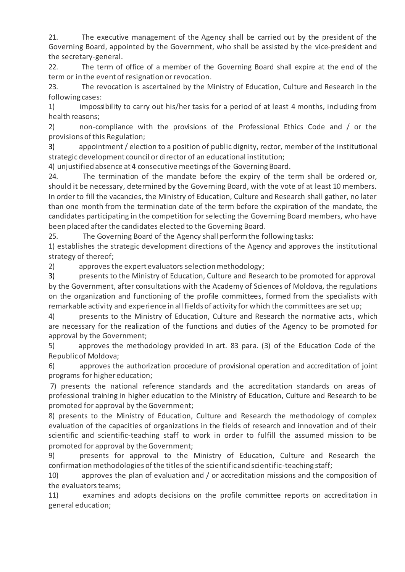21. The executive management of the Agency shall be carried out by the president of the Governing Board, appointed by the Government, who shall be assisted by the vice-president and the secretary-general.

22. The term of office of a member of the Governing Board shall expire at the end of the term or in the event of resignation or revocation.

23. The revocation is ascertained by the Ministry of Education, Culture and Research in the following cases:

1) impossibility to carry out his/her tasks for a period of at least 4 months, including from health reasons;

2) non-compliance with the provisions of the Professional Ethics Code and / or the provisions of this Regulation;

3) appointment / election to a position of public dignity, rector, member of the institutional strategic development council or director of an educational institution;

4) unjustified absence at 4 consecutive meetings of the Governing Board.

24. The termination of the mandate before the expiry of the term shall be ordered or, should it be necessary, determined by the Governing Board, with the vote of at least 10 members. In order to fill the vacancies, the Ministry of Education, Culture and Research shall gather, no later than one month from the termination date of the term before the expiration of the mandate, the candidates participating in the competition for selecting the Governing Board members, who have been placed after the candidates elected to the Governing Board.

25. The Governing Board of the Agency shall perform the following tasks:

1) establishes the strategic development directions of the Agency and approves the institutional strategy of thereof;

2) approves the expert evaluators selection methodology;

3) presents to the Ministry of Education, Culture and Research to be promoted for approval by the Government, after consultations with the Academy of Sciences of Moldova, the regulations on the organization and functioning of the profile committees, formed from the specialists with remarkable activity and experience in all fields of activity for which the committees are set up;

4) presents to the Ministry of Education, Culture and Research the normative acts, which are necessary for the realization of the functions and duties of the Agency to be promoted for approval by the Government;

5) approves the methodology provided in art. 83 para. (3) of the Education Code of the Republic of Moldova;

6) approves the authorization procedure of provisional operation and accreditation of joint programs for higher education;

7) presents the national reference standards and the accreditation standards on areas of professional training in higher education to the Ministry of Education, Culture and Research to be promoted for approval by the Government;

8) presents to the Ministry of Education, Culture and Research the methodology of complex evaluation of the capacities of organizations in the fields of research and innovation and of their scientific and scientific-teaching staff to work in order to fulfill the assumed mission to be promoted for approval by the Government;

9) presents for approval to the Ministry of Education, Culture and Research the confirmation methodologies of the titles of the scientific and scientific-teaching staff;

10) approves the plan of evaluation and / or accreditation missions and the composition of the evaluators teams;

11) examines and adopts decisions on the profile committee reports on accreditation in general education;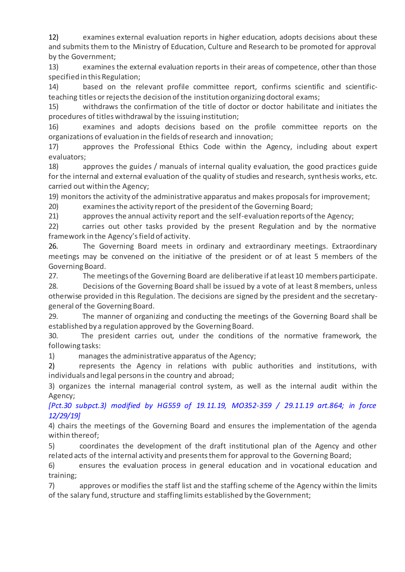12) examines external evaluation reports in higher education, adopts decisions about these and submits them to the Ministry of Education, Culture and Research to be promoted for approval by the Government;

13) examines the external evaluation reports in their areas of competence, other than those specified in this Regulation;

14) based on the relevant profile committee report, confirms scientific and scientificteaching titles or rejects the decision of the institution organizing doctoral exams;

15) withdraws the confirmation of the title of doctor or doctor habilitate and initiates the procedures of titles withdrawal by the issuing institution;

16) examines and adopts decisions based on the profile committee reports on the organizations of evaluation in the fields of research and innovation;

17) approves the Professional Ethics Code within the Agency, including about expert evaluators;

18) approves the guides / manuals of internal quality evaluation, the good practices guide for the internal and external evaluation of the quality of studies and research, synthesis works, etc. carried out within the Agency;

19) monitors the activity of the administrative apparatus and makes proposals for improvement;

20) examines the activity report of the president of the Governing Board;

21) approves the annual activity report and the self-evaluation reports of the Agency;

22) carries out other tasks provided by the present Regulation and by the normative framework in the Agency's field of activity.

26. The Governing Board meets in ordinary and extraordinary meetings. Extraordinary meetings may be convened on the initiative of the president or of at least 5 members of the Governing Board.

27. The meetings of the Governing Board are deliberative if at least 10 members participate.

28. Decisions of the Governing Board shall be issued by a vote of at least 8 members, unless otherwise provided in this Regulation. The decisions are signed by the president and the secretarygeneral of the Governing Board.

29. The manner of organizing and conducting the meetings of the Governing Board shall be established by a regulation approved by the Governing Board.

30. The president carries out, under the conditions of the normative framework, the following tasks:

1) manages the administrative apparatus of the Agency;

2) represents the Agency in relations with public authorities and institutions, with individuals and legal persons in the country and abroad;

3) organizes the internal managerial control system, as well as the internal audit within the Agency;

*[Pct.30 subpct.3) modified by HG559 of 19.11.19, MO352-359 / 29.11.19 art.864; in force 12/29/19]*

4) chairs the meetings of the Governing Board and ensures the implementation of the agenda within thereof;

5) coordinates the development of the draft institutional plan of the Agency and other related acts of the internal activity and presents them for approval to the Governing Board;

6) ensures the evaluation process in general education and in vocational education and training;

7) approves or modifies the staff list and the staffing scheme of the Agency within the limits of the salary fund, structure and staffing limits established by the Government;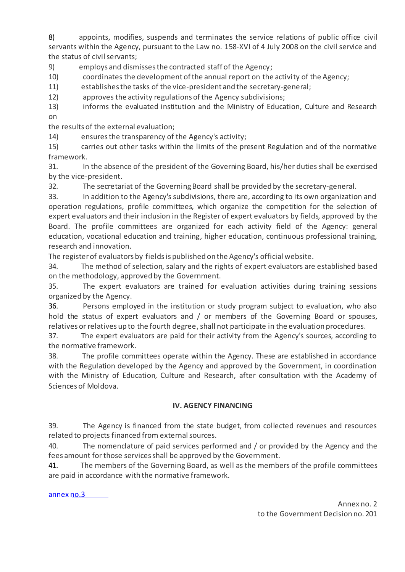8) appoints, modifies, suspends and terminates the service relations of public office civil servants within the Agency, pursuant to the Law no. 158-XVI of 4 July 2008 on the civil service and the status of civil servants;

9) employs and dismisses the contracted staff of the Agency;

10) coordinates the development of the annual report on the activity of the Agency;

11) establishes the tasks of the vice-president and the secretary-general;

12) approves the activity regulations of the Agency subdivisions;

13) informs the evaluated institution and the Ministry of Education, Culture and Research on

the results of the external evaluation;

14) ensures the transparency of the Agency's activity;

15) carries out other tasks within the limits of the present Regulation and of the normative framework.

31. In the absence of the president of the Governing Board, his/her duties shall be exercised by the vice-president.

32. The secretariat of the Governing Board shall be provided by the secretary-general.

33. In addition to the Agency's subdivisions, there are, according to its own organization and operation regulations, profile committees, which organize the competition for the selection of expert evaluators and their indusion in the Register of expert evaluators by fields, approved by the Board. The profile committees are organized for each activity field of the Agency: general education, vocational education and training, higher education, continuous professional training, research and innovation.

The register of evaluators by fields is published on the Agency's official website.

34. The method of selection, salary and the rights of expert evaluators are established based on the methodology, approved by the Government.

35. The expert evaluators are trained for evaluation activities during training sessions organized by the Agency.

36. Persons employed in the institution or study program subject to evaluation, who also hold the status of expert evaluators and / or members of the Governing Board or spouses, relatives or relatives up to the fourth degree, shall not participate in the evaluation procedures.

37. The expert evaluators are paid for their activity from the Agency's sources, according to the normative framework.

38. The profile committees operate within the Agency. These are established in accordance with the Regulation developed by the Agency and approved by the Government, in coordination with the Ministry of Education, Culture and Research, after consultation with the Academy of Sciences of Moldova.

## **IV. AGENCY FINANCING**

39. The Agency is financed from the state budget, from collected revenues and resources related to projects financed from external sources.

40. The nomenclature of paid services performed and / or provided by the Agency and the fees amount for those services shall be approved by the Government.

41. The members of the Governing Board, as well as the members of the profile committees are paid in accordance with the normative framework.

[annex no.3](http://www.legis.md/UserFiles/Image/RO/2019/mo148-158md/an_3_201.docx)

Annex no. 2 to the Government Decision no. 201